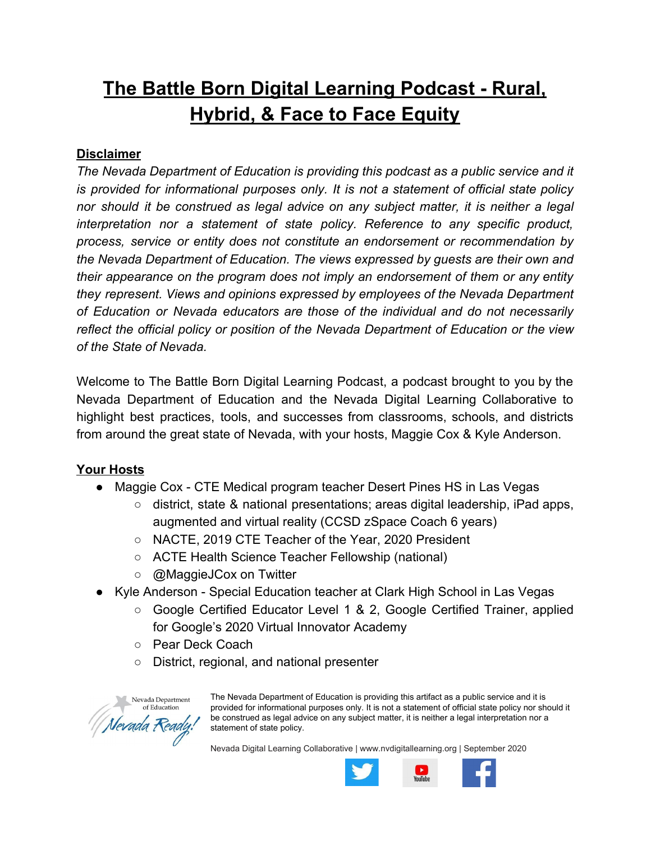# **The Battle Born Digital Learning Podcast - Rural, Hybrid, & Face to Face Equity**

# **Disclaimer**

*The Nevada Department of Education is providing this podcast as a public service and it is provided for informational purposes only. It is not a statement of official state policy nor should it be construed as legal advice on any subject matter, it is neither a legal interpretation nor a statement of state policy. Reference to any specific product, process, service or entity does not constitute an endorsement or recommendation by the Nevada Department of Education. The views expressed by guests are their own and their appearance on the program does not imply an endorsement of them or any entity they represent. Views and opinions expressed by employees of the Nevada Department of Education or Nevada educators are those of the individual and do not necessarily reflect the official policy or position of the Nevada Department of Education or the view of the State of Nevada.*

Welcome to The Battle Born Digital Learning Podcast, a podcast brought to you by the Nevada Department of Education and the Nevada Digital Learning Collaborative to highlight best practices, tools, and successes from classrooms, schools, and districts from around the great state of Nevada, with your hosts, Maggie Cox & Kyle Anderson.

# **Your Hosts**

- Maggie Cox CTE Medical program teacher Desert Pines HS in Las Vegas
	- $\circ$  district, state & national presentations; areas digital leadership, iPad apps, augmented and virtual reality (CCSD zSpace Coach 6 years)
	- NACTE, 2019 CTE Teacher of the Year, 2020 President
	- ACTE Health Science Teacher Fellowship (national)
	- @MaggieJCox on Twitter
- Kyle Anderson Special Education teacher at Clark High School in Las Vegas
	- Google Certified Educator Level 1 & 2, Google Certified Trainer, applied for Google's 2020 Virtual Innovator Academy
	- Pear Deck Coach
	- District, regional, and national presenter



The Nevada Department of Education is providing this artifact as a public service and it is provided for informational purposes only. It is not a statement of official state policy nor should it be construed as legal advice on any subject matter, it is neither a legal interpretation nor a statement of state policy.

Nevada Digital Learning Collaborative | [www.nvdigitallearning.org](http://www.nvdigitallearning.org/) | September 2020

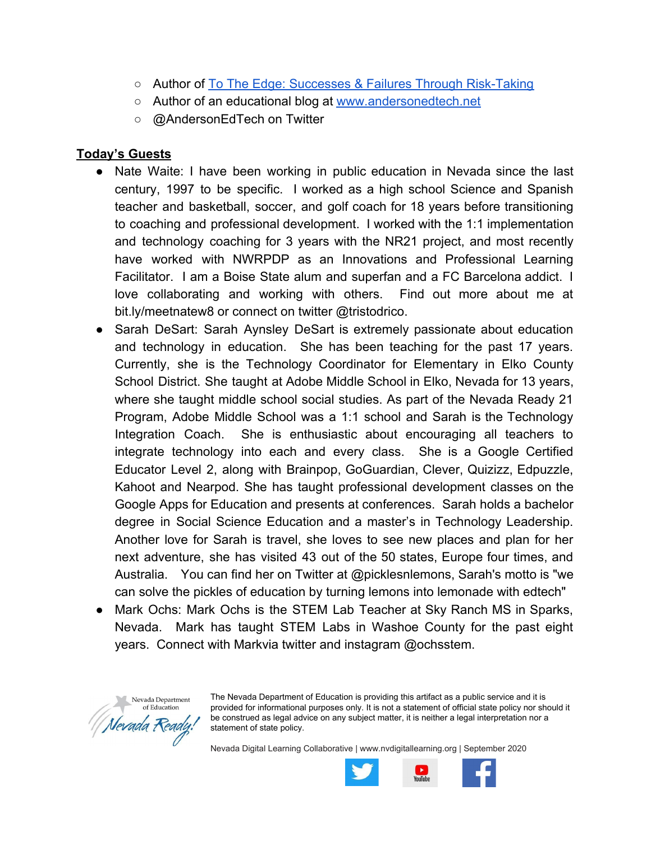- Author of [To The Edge: Successes & Failures Through Risk-Taking](http://bit.ly/totheedgeedu)
- Author of an educational blog at [www.andersonedtech.net](http://www.andersonedtech.net/)
- @ Anderson Ed Tech on Twitter

### **Today's Guests**

- Nate Waite: I have been working in public education in Nevada since the last century, 1997 to be specific. I worked as a high school Science and Spanish teacher and basketball, soccer, and golf coach for 18 years before transitioning to coaching and professional development. I worked with the 1:1 implementation and technology coaching for 3 years with the NR21 project, and most recently have worked with NWRPDP as an Innovations and Professional Learning Facilitator. I am a Boise State alum and superfan and a FC Barcelona addict. I love collaborating and working with others. Find out more about me at bit.ly/meetnatew8 or connect on twitter @tristodrico.
- Sarah DeSart: Sarah Aynsley DeSart is extremely passionate about education and technology in education. She has been teaching for the past 17 years. Currently, she is the Technology Coordinator for Elementary in Elko County School District. She taught at Adobe Middle School in Elko, Nevada for 13 years, where she taught middle school social studies. As part of the Nevada Ready 21 Program, Adobe Middle School was a 1:1 school and Sarah is the Technology Integration Coach. She is enthusiastic about encouraging all teachers to integrate technology into each and every class. She is a Google Certified Educator Level 2, along with Brainpop, GoGuardian, Clever, Quizizz, Edpuzzle, Kahoot and Nearpod. She has taught professional development classes on the Google Apps for Education and presents at conferences. Sarah holds a bachelor degree in Social Science Education and a master's in Technology Leadership. Another love for Sarah is travel, she loves to see new places and plan for her next adventure, she has visited 43 out of the 50 states, Europe four times, and Australia. You can find her on Twitter at @picklesnlemons, Sarah's motto is "we can solve the pickles of education by turning lemons into lemonade with edtech"
- Mark Ochs: Mark Ochs is the STEM Lab Teacher at Sky Ranch MS in Sparks, Nevada. Mark has taught STEM Labs in Washoe County for the past eight years. Connect with Markvia twitter and instagram @ochsstem.



The Nevada Department of Education is providing this artifact as a public service and it is provided for informational purposes only. It is not a statement of official state policy nor should it be construed as legal advice on any subject matter, it is neither a legal interpretation nor a statement of state policy.

Nevada Digital Learning Collaborative | [www.nvdigitallearning.org](http://www.nvdigitallearning.org/) | September 2020